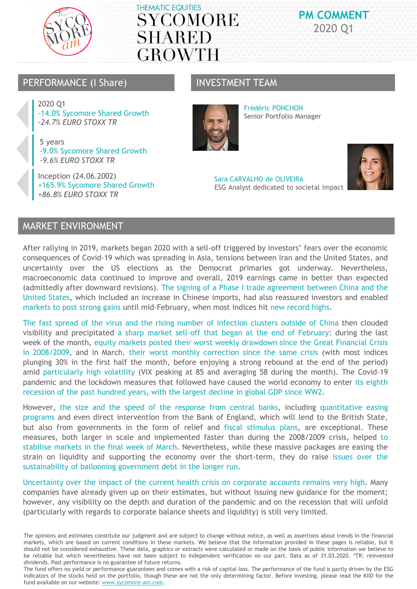

## **PM COMMENT** 2020 Q1

### PERFORMANCE (I Share) **INVESTMENT TEAM**

2020 Q1 -14.0% Sycomore Shared Growth *-24.7% EURO STOXX TR*

5 years -9.0% Sycomore Shared Growth *-9.6% EURO STOXX TR*

Inception (24.06.2002) +165.9% Sycomore Shared Growth *+86.8% EURO STOXX TR*

Frédéric PONCHON Senior Portfolio Manager

Sara CARVALHO de OLIVEIRA ESG Analyst dedicated to societal impact



## MARKET ENVIRONMENT

After rallying in 2019, markets began 2020 with a sell-off triggered by investors' fears over the economic consequences of Covid-19 which was spreading in Asia, tensions between Iran and the United States, and uncertainty over the US elections as the Democrat primaries got underway. Nevertheless, macroeconomic data continued to improve and overall, 2019 earnings came in better than expected (admittedly after downward revisions). The signing of a Phase I trade agreement between China and the United States, which included an increase in Chinese imports, had also reassured investors and enabled markets to post strong gains until mid-February, when most indices hit new record highs.

The fast spread of the virus and the rising number of infection clusters outside of China then clouded visibility and precipitated a sharp market sell-off that began at the end of February: during the last week of the month, equity markets posted their worst weekly drawdown since the Great Financial Crisis in 2008/2009, and in March, their worst monthly correction since the same crisis (with most indices plunging 30% in the first half the month, before enjoying a strong rebound at the end of the period) amid particularly high volatility (VIX peaking at 85 and averaging 58 during the month). The Covid-19 pandemic and the lockdown measures that followed have caused the world economy to enter its eighth recession of the past hundred years, with the largest decline in global GDP since WW2.

However, the size and the speed of the response from central banks, including quantitative easing programs and even direct intervention from the Bank of England, which will lend to the British State, but also from governments in the form of relief and fiscal stimulus plans, are exceptional. These measures, both larger in scale and implemented faster than during the 2008/2009 crisis, helped to stabilise markets in the final week of March. Nevertheless, while these massive packages are easing the strain on liquidity and supporting the economy over the short-term, they do raise issues over the sustainability of ballooning government debt in the longer run.

Uncertainty over the impact of the current health crisis on corporate accounts remains very high. Many companies have already given up on their estimates, but without issuing new guidance for the moment; however, any visibility on the depth and duration of the pandemic and on the recession that will unfold (particularly with regards to corporate balance sheets and liquidity) is still very limited.

The opinions and estimates constitute our judgment and are subject to change without notice, as well as assertions about trends in the financial markets, which are based on current conditions in these markets. We believe that the information provided in these pages is reliable, but it should not be considered exhaustive. These data, graphics or extracts were calculated or made on the basis of public information we believe to be reliable but which nevertheless have not been subject to independent verification on our part. Data as of 31.03.2020. \*TR: reinvested dividends. Past performance is no guarantee of future returns.

The fund offers no yield or performance guarantees and comes with a risk of capital loss. The performance of the fund is partly driven by the ESG indicators of the stocks held on the portfolio, though these are not the only determining factor. Before investing, please read the KIID for the fund available on our website: www.sycomore-am.com.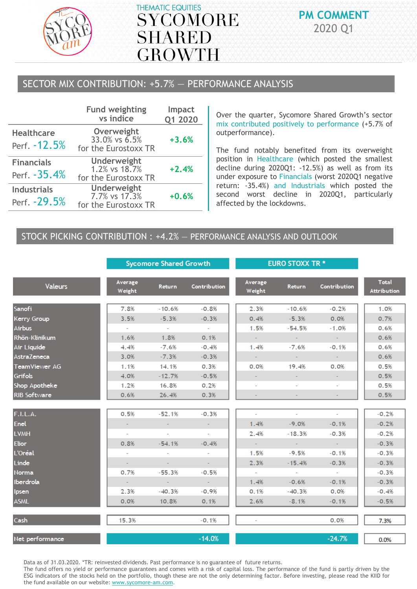

## **PM COMMENT** 2020 Q1

## SECTOR MIX CONTRIBUTION: +5.7% — PERFORMANCE ANALYSIS

|                                     | <b>Fund weighting</b><br>vs indice                          | <b>Impact</b><br>Q1 2020 |
|-------------------------------------|-------------------------------------------------------------|--------------------------|
| <b>Healthcare</b><br>Perf. - 12.5%  | Overweight<br>33.0% vs 6.5%<br>for the Eurostoxx TR         | $+3.6%$                  |
| <b>Financials</b><br>Perf. - 35.4%  | <b>Underweight</b><br>1.2% vs 18.7%<br>for the Eurostoxx TR | $+2.4%$                  |
| <b>Industrials</b><br>Perf. - 29.5% | <b>Underweight</b><br>7.7% vs 17.3%<br>for the Eurostoxx TR | $+0.6%$                  |

Over the quarter, Sycomore Shared Growth's sector mix contributed positively to performance (+5.7% of outperformance).

The fund notably benefited from its overweight position in Healthcare (which posted the smallest decline during 2020Q1: -12.5%) as well as from its under exposure to Financials (worst 2020Q1 negative return: -35.4%) and Industrials which posted the second worst decline in 2020Q1, particularly affected by the lockdowns.

### STOCK PICKING CONTRIBUTION : +4.2% — PERFORMANCE ANALYSIS AND OUTLOOK

|                     |                   | <b>Sycomore Shared Growth</b> |                 |                     | <b>EURO STOXX TR *</b> |                     |                                    |
|---------------------|-------------------|-------------------------------|-----------------|---------------------|------------------------|---------------------|------------------------------------|
| <b>Valeurs</b>      | Average<br>Weight | Return                        | Contribution    | Average<br>Weight   | <b>Return</b>          | Contribution        | <b>Total</b><br><b>Attribution</b> |
| Sanofi              | 7.8%              | $-10.6%$                      | $-0.8%$         | 2.3%                | $-10.6%$               | $-0.2%$             | 1.0%                               |
| <b>Kerry Group</b>  | 3.5%              | $-5.3%$                       | $-0.3%$         | 0.4%                | $-5.3%$                | 0.0%                | 0.7%                               |
| Airbus              | $\sim$            | $\sim$                        | <b>Contract</b> | 1.5%                | $-54.5%$               | $-1.0%$             | 0.6%                               |
| Rhön-Klinikum       | 1.6%              | 1.8%                          | 0.1%            | $\sigma_{\rm{max}}$ | <b>Common</b>          | $\sim 10^{-1}$      | 0.6%                               |
| Air Liquide         | 4.4%              | $-7.6%$                       | $-0.4%$         | 1.4%                | $-7.6%$                | $-0.1%$             | 0.6%                               |
| AstraZeneca         | 3.0%              | $-7.3%$                       | $-0.3%$         | $\sigma_{\rm{max}}$ | $\sim 10^{-1}$         | $\sigma_{\rm{eff}}$ | 0.6%                               |
| TeamViewer AG       | 1.1%              | 14.1%                         | 0.3%            | 0.0%                | 19.4%                  | 0.0%                | 0.5%                               |
| Grifols             | 4.0%              | $-12.7%$                      | $-0.5%$         | $\sim$              |                        | $\sim$              | 0.5%                               |
| Shop Apotheke       | 1.2%              | 16.8%                         | 0.2%            |                     |                        |                     | 0.5%                               |
| <b>RIB Software</b> | 0.6%              | 26.4%                         | 0.3%            | ÷                   | $\sim$                 | $\equiv$            | 0.5%                               |
| F.I.L.A.            | 0.5%              | $-52.1%$                      | $-0.3%$         | $\sim 10^{-1}$      | <b>Contract</b>        | $\sim$              | $-0.2%$                            |
| Enel                |                   | $\mathcal{L}$                 | $\sim$          | 1.4%                | $-9.0%$                | $-0.1%$             | $-0.2%$                            |
| <b>LVMH</b>         | $\sim$            | $\blacksquare$                | $\sim$          | 2.4%                | $-18.3%$               | $-0.3%$             | $-0.2%$                            |
| <b>Elior</b>        | 0.8%              | $-54.1%$                      | $-0.4%$         | $\omega_{\rm{eff}}$ | $\sim 10^{-1}$         | $\sim$              | $-0.3%$                            |
| L'Oréal             | $\sim$            | $\sim$                        | $\sim$          | 1.5%                | $-9.5%$                | $-0.1%$             | $-0.3%$                            |
| Linde               | $\sim$            | $\sim$                        |                 | 2.3%                | $-15.4%$               | $-0.3%$             | $-0.3%$                            |
| Norma               | 0.7%              | $-55.3%$                      | $-0.5%$         | $\sim$ 10 $\pm$     | <b>Contract</b>        | $\sim$              | $-0.3%$                            |
| Iberdrola           | $\sim 10$         | $\sim 10^{-1}$                | $\sim$ $\sim$   | 1.4%                | $-0.6%$                | $-0.1%$             | $-0.3%$                            |
| <b>Ipsen</b>        | 2.3%              | $-40.3%$                      | $-0.9%$         | 0.1%                | $-40.3%$               | 0.0%                | $-0.4%$                            |
| <b>ASML</b>         | 0.0%              | 10.8%                         | 0.1%            | 2.6%                | $-8.1%$                | $-0.1%$             | $-0.5%$                            |
| Cash                | 15.3%             |                               | $-0.1%$         | $\sim$              |                        | 0.0%                | 7.3%                               |
| Net performance     |                   |                               | $-14.0%$        |                     |                        | $-24.7%$            | 0.0%                               |

Data as of 31.03.2020. \*TR: reinvested dividends. Past performance is no guarantee of future returns.

The fund offers no yield or performance guarantees and comes with a risk of capital loss. The performance of the fund is partly driven by the ESG indicators of the stocks held on the portfolio, though these are not the only determining factor. Before investing, please read the KIID for the fund available on our website: www.sycomore-am.com.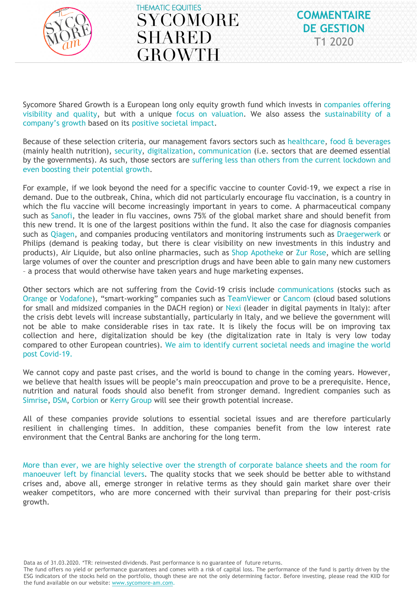

Sycomore Shared Growth is a European long only equity growth fund which invests in companies offering visibility and quality, but with a unique focus on valuation. We also assess the sustainability of a company's growth based on its positive societal impact.

**COMMENTAIRE DE GESTION** T1 2020

Because of these selection criteria, our management favors sectors such as healthcare, food & beverages (mainly health nutrition), security, digitalization, communication (i.e. sectors that are deemed essential by the governments). As such, those sectors are suffering less than others from the current lockdown and even boosting their potential growth.

For example, if we look beyond the need for a specific vaccine to counter Covid-19, we expect a rise in demand. Due to the outbreak, China, which did not particularly encourage flu vaccination, is a country in which the flu vaccine will become increasingly important in years to come. A pharmaceutical company such as Sanofi, the leader in flu vaccines, owns 75% of the global market share and should benefit from this new trend. It is one of the largest positions within the fund. It also the case for diagnosis companies such as Qiagen, and companies producing ventilators and monitoring instruments such as Draegerwerk or Philips (demand is peaking today, but there is clear visibility on new investments in this industry and products), Air Liquide, but also online pharmacies, such as Shop Apotheke or Zur Rose, which are selling large volumes of over the counter and prescription drugs and have been able to gain many new customers – a process that would otherwise have taken years and huge marketing expenses.

Other sectors which are not suffering from the Covid-19 crisis include communications (stocks such as Orange or Vodafone), "smart-working" companies such as TeamViewer or Cancom (cloud based solutions for small and midsized companies in the DACH region) or Nexi (leader in digital payments in Italy): after the crisis debt levels will increase substantially, particularly in Italy, and we believe the government will not be able to make considerable rises in tax rate. It is likely the focus will be on improving tax collection and here, digitalization should be key (the digitalization rate in Italy is very low today compared to other European countries). We aim to identify current societal needs and imagine the world post Covid-19.

We cannot copy and paste past crises, and the world is bound to change in the coming years. However, we believe that health issues will be people's main preoccupation and prove to be a prerequisite. Hence, nutrition and natural foods should also benefit from stronger demand. Ingredient companies such as Simrise, DSM, Corbion or Kerry Group will see their growth potential increase.

All of these companies provide solutions to essential societal issues and are therefore particularly resilient in challenging times. In addition, these companies benefit from the low interest rate environment that the Central Banks are anchoring for the long term.

More than ever, we are highly selective over the strength of corporate balance sheets and the room for manoeuver left by financial levers. The quality stocks that we seek should be better able to withstand crises and, above all, emerge stronger in relative terms as they should gain market share over their weaker competitors, who are more concerned with their survival than preparing for their post-crisis growth.

Data as of 31.03.2020. \*TR: reinvested dividends. Past performance is no guarantee of future returns.

The fund offers no yield or performance guarantees and comes with a risk of capital loss. The performance of the fund is partly driven by the ESG indicators of the stocks held on the portfolio, though these are not the only determining factor. Before investing, please read the KIID for the fund available on our website: www.sycomore-am.com.